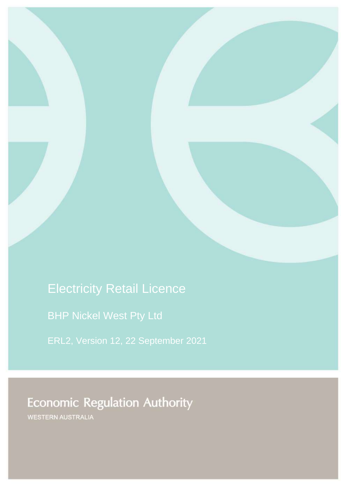# Electricity Retail Licence

BHP Nickel West Pty Ltd

ERL2, Version 12, 22 September 2021

**Economic Regulation Authority** 

WESTERN AUSTRALIA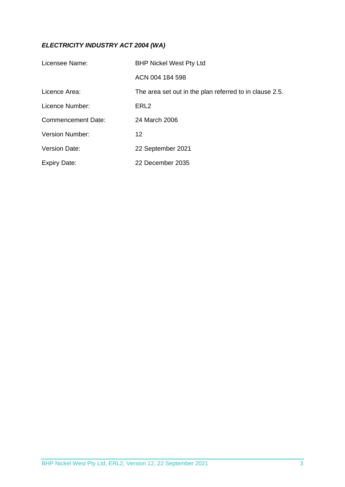# *ELECTRICITY INDUSTRY ACT 2004 (WA)*

| Licensee Name:            | <b>BHP Nickel West Pty Ltd</b>                          |
|---------------------------|---------------------------------------------------------|
|                           | ACN 004 184 598                                         |
| Licence Area:             | The area set out in the plan referred to in clause 2.5. |
| Licence Number:           | ERL <sub>2</sub>                                        |
| <b>Commencement Date:</b> | 24 March 2006                                           |
| <b>Version Number:</b>    | 12                                                      |
| <b>Version Date:</b>      | 22 September 2021                                       |
| <b>Expiry Date:</b>       | 22 December 2035                                        |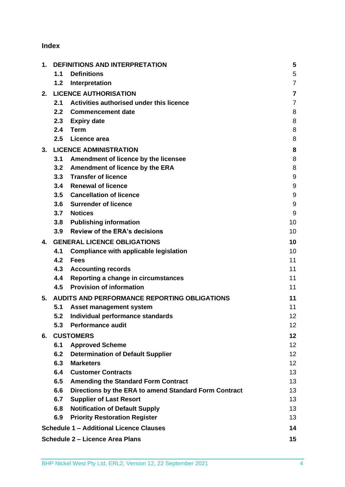# **Index**

| 1. | <b>DEFINITIONS AND INTERPRETATION</b> |                                                       | 5                       |
|----|---------------------------------------|-------------------------------------------------------|-------------------------|
|    | 1.1                                   | <b>Definitions</b>                                    | 5                       |
|    | 1.2                                   | Interpretation                                        | $\overline{7}$          |
| 2. |                                       | <b>LICENCE AUTHORISATION</b>                          | $\overline{\mathbf{7}}$ |
|    | 2.1                                   | Activities authorised under this licence              | $\overline{7}$          |
|    | 2.2                                   | <b>Commencement date</b>                              | 8                       |
|    |                                       | 2.3 Expiry date                                       | 8                       |
|    | 2.4                                   | Term                                                  | 8                       |
|    | 2.5                                   | Licence area                                          | 8                       |
| 3. |                                       | <b>LICENCE ADMINISTRATION</b>                         | 8                       |
|    | 3.1                                   | Amendment of licence by the licensee                  | 8                       |
|    | 3.2                                   | Amendment of licence by the ERA                       | 8                       |
|    |                                       | 3.3 Transfer of licence                               | 9                       |
|    |                                       | 3.4 Renewal of licence                                | 9                       |
|    |                                       | 3.5 Cancellation of licence                           | 9                       |
|    |                                       | 3.6 Surrender of licence                              | 9                       |
|    |                                       | 3.7 Notices                                           | 9                       |
|    |                                       | 3.8 Publishing information                            | 10                      |
|    | 3.9                                   | <b>Review of the ERA's decisions</b>                  | 10                      |
| 4. |                                       | <b>GENERAL LICENCE OBLIGATIONS</b>                    | 10                      |
|    | 4.1                                   | <b>Compliance with applicable legislation</b>         | 10                      |
|    | 4.2                                   | <b>Fees</b>                                           | 11                      |
|    | 4.3                                   | <b>Accounting records</b>                             | 11                      |
|    | 4.4                                   | Reporting a change in circumstances                   | 11                      |
|    | 4.5                                   | <b>Provision of information</b>                       | 11                      |
| 5. |                                       | AUDITS AND PERFORMANCE REPORTING OBLIGATIONS          | 11                      |
|    | 5.1                                   | Asset management system                               | 11                      |
|    | 5.2                                   | Individual performance standards                      | 12                      |
|    | 5.3                                   | <b>Performance audit</b>                              | 12 <sub>2</sub>         |
| 6. |                                       | <b>CUSTOMERS</b>                                      | 12                      |
|    | 6.1                                   | <b>Approved Scheme</b>                                | 12 <sub>2</sub>         |
|    | 6.2                                   | <b>Determination of Default Supplier</b>              | 12 <sub>2</sub>         |
|    | 6.3                                   | <b>Marketers</b>                                      | 12                      |
|    | 6.4                                   | <b>Customer Contracts</b>                             | 13                      |
|    | 6.5                                   | <b>Amending the Standard Form Contract</b>            | 13                      |
|    | 6.6                                   | Directions by the ERA to amend Standard Form Contract | 13                      |
|    | 6.7                                   | <b>Supplier of Last Resort</b>                        | 13                      |
|    | 6.8                                   | <b>Notification of Default Supply</b>                 | 13                      |
|    | 6.9                                   | <b>Priority Restoration Register</b>                  | 13                      |
|    |                                       | <b>Schedule 1 - Additional Licence Clauses</b>        | 14                      |
|    |                                       | <b>Schedule 2 – Licence Area Plans</b>                | 15                      |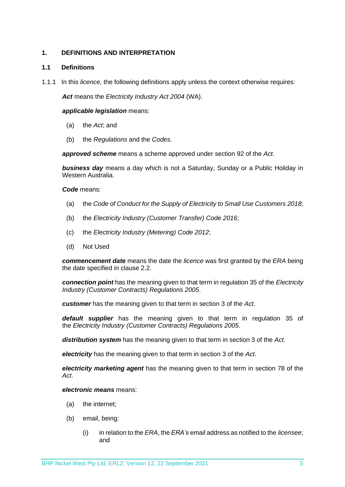# <span id="page-3-0"></span>**1. DEFINITIONS AND INTERPRETATION**

# <span id="page-3-1"></span>**1.1 Definitions**

1.1.1 In this *licence*, the following definitions apply unless the context otherwise requires:

*Act* means the *Electricity Industry Act 2004* (WA).

#### *applicable legislation* means:

- (a) the *Act*; and
- (b) the *Regulations* and the *Codes*.

*approved scheme* means a scheme approved under section 92 of the *Act.* 

*business day* means a day which is not a Saturday, Sunday or a Public Holiday in Western Australia.

*Code* means:

- (a) the *Code of Conduct for the Supply of Electricity to Small Use Customers 2018*;
- (b) the *Electricity Industry (Customer Transfer) Code 2016*;
- (c) the *Electricity Industry (Metering) Code 2012*;
- (d) Not Used

*commencement date* means the date the *licence* was first granted by the *ERA* being the date specified in clause 2.2.

*connection point* has the meaning given to that term in regulation 35 of the *[Electricity](http://www.slp.wa.gov.au/legislation/statutes.nsf/main_mrtitle_1345_homepage.html)  [Industry \(Customer Contracts\) Regulations 2005](http://www.slp.wa.gov.au/legislation/statutes.nsf/main_mrtitle_1345_homepage.html)*.

*customer* has the meaning given to that term in section 3 of the *Act*.

*default supplier* has the meaning given to that term in regulation 35 of the *Electricity [Industry \(Customer Contracts\) Regulations 2005.](http://www.slp.wa.gov.au/legislation/statutes.nsf/main_mrtitle_1345_homepage.html)*

*distribution system* has the meaning given to that term in section 3 of the *Act*.

*electricity* has the meaning given to that term in section 3 of the *Act*.

*electricity marketing agent* has the meaning given to that term in section 78 of the *Act*.

*electronic means* means:

- (a) the internet;
- (b) email, being:
	- (i) in relation to the *ERA*, the *ERA's* email address as notified to the *licensee*; and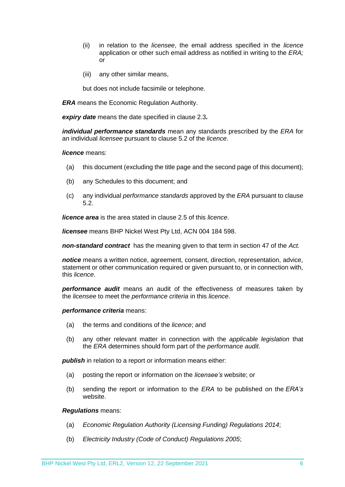- (ii) in relation to the *licensee*, the email address specified in the *licence* application or other such email address as notified in writing to the *ERA;* or
- (iii) any other similar means,

but does not include facsimile or telephone.

*ERA* means the Economic Regulation Authority.

*expiry date* means the date specified in clause 2.3*.*

*individual performance standards* mean any standards prescribed by the *ERA* for an individual *licensee* pursuant to clause 5.2 of the *licence*.

#### *licence* means:

- (a) this document (excluding the title page and the second page of this document);
- (b) any Schedules to this document; and
- (c) any individual *performance standards* approved by the *ERA* pursuant to clause 5.2.

*licence area* is the area stated in clause 2.5 of this *licence*.

*licensee* means BHP Nickel West Pty Ltd, ACN 004 184 598.

*non-standard contract* has the meaning given to that term in section 47 of the *Act.* 

*notice* means a written notice, agreement, consent, direction, representation, advice, statement or other communication required or given pursuant to, or in connection with, this *licence*.

*performance audit* means an audit of the effectiveness of measures taken by the *licensee* to meet the *performance criteria* in this *licence*.

#### *performance criteria* means:

- (a) the terms and conditions of the *licence*; and
- (b) any other relevant matter in connection with the *applicable legislation* that the *ERA* determines should form part of the *performance audit*.

**publish** in relation to a report or information means either:

- (a) posting the report or information on the *licensee's* website; or
- (b) sending the report or information to the *ERA* to be published on the *ERA's* website.

#### *Regulations* means:

- (a) *Economic Regulation Authority (Licensing Funding) Regulations 2014*;
- (b) *Electricity Industry (Code of Conduct) Regulations 2005*;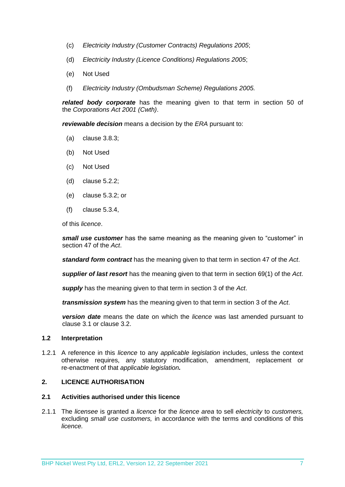- (c) *Electricity Industry (Customer Contracts) Regulations 2005*;
- (d) *Electricity Industry (Licence Conditions) Regulations 2005*;
- (e) Not Used
- (f) *Electricity Industry (Ombudsman Scheme) Regulations 2005.*

*related body corporate* has the meaning given to that term in section 50 of the *Corporations Act 2001 (Cwth)*.

*reviewable decision* means a decision by the *ERA* pursuant to:

- (a) clause 3.8.3;
- (b) Not Used
- (c) Not Used
- (d) clause 5.2.2;
- (e) clause 5.3.2; or
- (f) clause 5.3.4,

of this *licence*.

*small use customer* has the same meaning as the meaning given to "customer" in section 47 of the *Act*.

*standard form contract* has the meaning given to that term in section 47 of the *Act*.

*supplier of last resort* has the meaning given to that term in section 69(1) of the *Act*.

*supply* has the meaning given to that term in section 3 of the *Act*.

*transmission system* has the meaning given to that term in section 3 of the *Act*.

*version date* means the date on which the *licence* was last amended pursuant to clause 3.1 or clause 3.2.

# <span id="page-5-0"></span>**1.2 Interpretation**

1.2.1 A reference in this *licence* to any *applicable legislation* includes, unless the context otherwise requires, any statutory modification, amendment, replacement or re-enactment of that *applicable legislation.*

#### <span id="page-5-1"></span>**2. LICENCE AUTHORISATION**

#### <span id="page-5-2"></span>**2.1 Activities authorised under this licence**

2.1.1 The *licensee* is granted a *licence* for the *licence area* to sell *electricity* to *customers,*  excluding *small use customers,* in accordance with the terms and conditions of this *licence.*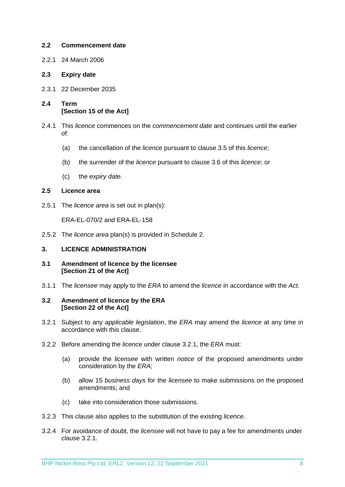# <span id="page-6-0"></span>**2.2 Commencement date**

2.2.1 24 March 2006

# <span id="page-6-1"></span>**2.3 Expiry date**

- 2.3.1 22 December 2035
- <span id="page-6-2"></span>**2.4 Term [Section 15 of the Act]**
- 2.4.1 This *licence* commences on the *commencement date* and continues until the earlier of:
	- (a) the cancellation of the *licence* pursuant to clause 3.5 of this *licence*;
	- (b) the surrender of the *licence* pursuant to clause 3.6 of this *licence*; or
	- (c) the *expiry date*.

### <span id="page-6-3"></span>**2.5 Licence area**

2.5.1 The *licence area* is set out in plan(s):

ERA-EL-070/2 and ERA-EL-158

2.5.2 The *licence area* plan(s) is provided in Schedule 2.

# <span id="page-6-4"></span>**3. LICENCE ADMINISTRATION**

- <span id="page-6-5"></span>**3.1 Amendment of licence by the licensee [Section 21 of the Act]**
- 3.1.1 The *licensee* may apply to the *ERA* to amend the *licence* in accordance with the *Act.*

#### <span id="page-6-6"></span>**3.2 Amendment of licence by the ERA [Section 22 of the Act]**

- 3.2.1 Subject to any *applicable legislation*, the *ERA* may amend the *licence* at any time in accordance with this clause.
- 3.2.2 Before amending the *licence* under clause 3.2.1, the *ERA* must:
	- (a) provide the *licensee* with written *notice* of the proposed amendments under consideration by the *ERA*;
	- (b) allow 15 *business days* for the *licensee* to make submissions on the proposed amendments; and
	- (c) take into consideration those submissions.
- 3.2.3 This clause also applies to the substitution of the existing *licence*.
- 3.2.4 For avoidance of doubt, the *licensee* will not have to pay a fee for amendments under clause 3.2.1.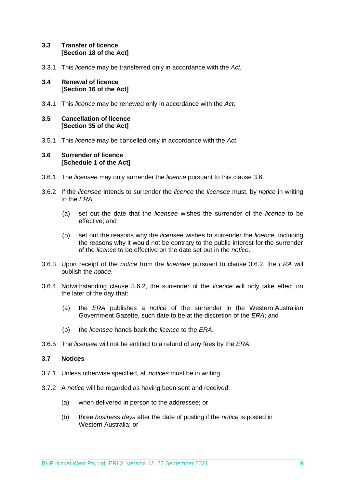# <span id="page-7-0"></span>**3.3 Transfer of licence [Section 18 of the Act]**

3.3.1 This *licence* may be transferred only in accordance with the *Act.*

# <span id="page-7-1"></span>**3.4 Renewal of licence [Section 16 of the Act]**

3.4.1 This *licence* may be renewed only in accordance with the *Act*.

# <span id="page-7-2"></span>**3.5 Cancellation of licence [Section 35 of the Act]**

3.5.1 This *licence* may be cancelled only in accordance with the *Act*.

# <span id="page-7-3"></span>**3.6 Surrender of licence [Schedule 1 of the Act]**

- 3.6.1 The *licensee* may only surrender the *licence* pursuant to this clause 3.6.
- 3.6.2 If the *licensee* intends to surrender the *licence* the *licensee* must, by *notice* in writing to the *ERA*:
	- (a) set out the date that the *licensee* wishes the surrender of the *licence* to be effective; and
	- (b) set out the reasons why the *licensee* wishes to surrender the *licence*, including the reasons why it would not be contrary to the public interest for the surrender of the *licence* to be effective on the date set out in the *notice*.
- 3.6.3 Upon receipt of the *notice* from the *licensee* pursuant to clause 3.6.2, the *ERA* will publish the *notice*.
- 3.6.4 Notwithstanding clause 3.6.2, the surrender of the *licence* will only take effect on the later of the day that:
	- (a) the *ERA* publishes a *notice* of the surrender in the Western Australian Government Gazette, such date to be at the discretion of the *ERA*; and
	- (b) the *licensee* hands back the *licence* to the *ERA*.
- 3.6.5 The *licensee* will not be entitled to a refund of any fees by the *ERA*.

# <span id="page-7-4"></span>**3.7 Notices**

- 3.7.1 Unless otherwise specified, all *notices* must be in writing.
- 3.7.2 A *notice* will be regarded as having been sent and received:
	- (a) when delivered in person to the addressee; or
	- (b) three *business days* after the date of posting if the *notice* is posted in Western Australia; or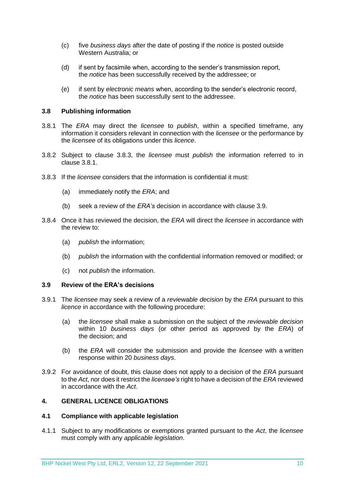- (c) five *business days* after the date of posting if the *notice* is posted outside Western Australia; or
- (d) if sent by facsimile when, according to the sender's transmission report, the *notice* has been successfully received by the addressee; or
- (e) if sent by *electronic means* when, according to the sender's electronic record, the *notice* has been successfully sent to the addressee.

# <span id="page-8-0"></span>**3.8 Publishing information**

- 3.8.1 The *ERA* may direct the *licensee* to *publish*, within a specified timeframe, any information it considers relevant in connection with the *licensee* or the performance by the *licensee* of its obligations under this *licence*.
- 3.8.2 Subject to clause 3.8.3, the *licensee* must *publish* the information referred to in clause 3.8.1.
- 3.8.3 If the *licensee* considers that the information is confidential it must:
	- (a) immediately notify the *ERA*; and
	- (b) seek a review of the *ERA's* decision in accordance with clause 3.9.
- 3.8.4 Once it has reviewed the decision, the *ERA* will direct the *licensee* in accordance with the review to:
	- (a) *publish* the information;
	- (b) *publish* the information with the confidential information removed or modified; or
	- (c) not *publish* the information.

# <span id="page-8-1"></span>**3.9 Review of the ERA's decisions**

- 3.9.1 The *licensee* may seek a review of a *reviewable decision* by the *ERA* pursuant to this *licence* in accordance with the following procedure:
	- (a) the *licensee* shall make a submission on the subject of the *reviewable decision* within 10 *business days* (or other period as approved by the *ERA*) of the decision; and
	- (b) the *ERA* will consider the submission and provide the *licensee* with a written response within 20 *business days*.
- 3.9.2 For avoidance of doubt, this clause does not apply to a decision of the *ERA* pursuant to the *Act*, nor does it restrict the *licensee's* right to have a decision of the *ERA* reviewed in accordance with the *Act*.

# <span id="page-8-2"></span>**4. GENERAL LICENCE OBLIGATIONS**

#### <span id="page-8-3"></span>**4.1 Compliance with applicable legislation**

4.1.1 Subject to any modifications or exemptions granted pursuant to the *Act*, the *licensee* must comply with any *applicable legislation*.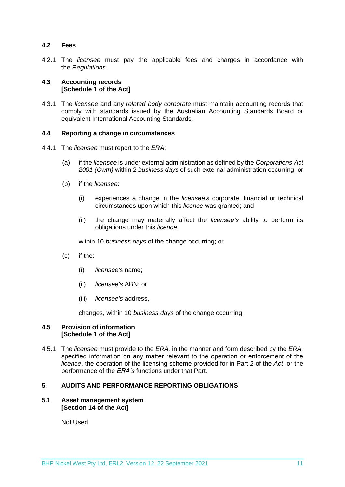# <span id="page-9-0"></span>**4.2 Fees**

4.2.1 The *licensee* must pay the applicable fees and charges in accordance with the *Regulations*.

# <span id="page-9-1"></span>**4.3 Accounting records [Schedule 1 of the Act]**

4.3.1 The *licensee* and any *related body corporate* must maintain accounting records that comply with standards issued by the Australian Accounting Standards Board or equivalent International Accounting Standards.

### <span id="page-9-2"></span>**4.4 Reporting a change in circumstances**

- 4.4.1 The *licensee* must report to the *ERA*:
	- (a) if the *licensee* is under external administration as defined by the *Corporations Act 2001 (Cwth)* within 2 *business days* of such external administration occurring; or
	- (b) if the *licensee*:
		- (i) experiences a change in the *licensee's* corporate, financial or technical circumstances upon which this *licence* was granted; and
		- (ii) the change may materially affect the *licensee's* ability to perform its obligations under this *licence*,

within 10 *business days* of the change occurring; or

- (c) if the:
	- (i) *licensee's* name;
	- (ii) *licensee's* ABN; or
	- (iii) *licensee's* address,

changes, within 10 *business days* of the change occurring.

## <span id="page-9-3"></span>**4.5 Provision of information [Schedule 1 of the Act]**

4.5.1 The *licensee* must provide to the *ERA,* in the manner and form described by the *ERA,*  specified information on any matter relevant to the operation or enforcement of the *licence*, the operation of the licensing scheme provided for in Part 2 of the *Act*, or the performance of the *ERA's* functions under that Part.

# <span id="page-9-4"></span>**5. AUDITS AND PERFORMANCE REPORTING OBLIGATIONS**

## <span id="page-9-5"></span>**5.1 Asset management system [Section 14 of the Act]**

Not Used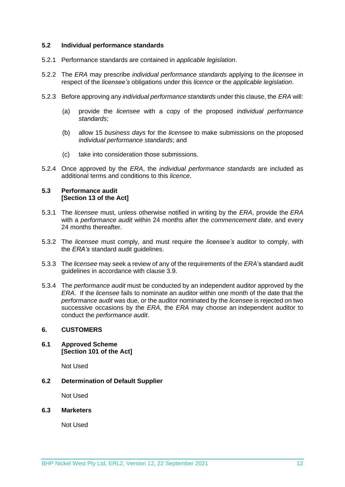#### <span id="page-10-0"></span>**5.2 Individual performance standards**

- 5.2.1 Performance standards are contained in *applicable legislation*.
- 5.2.2 The *ERA* may prescribe *individual performance standards* applying to the *licensee* in respect of the *licensee's* obligations under this *licence* or the *applicable legislation*.
- 5.2.3 Before approving any *individual performance standards* under this clause, the *ERA* will:
	- (a) provide the *licensee* with a copy of the proposed *individual performance standards*;
	- (b) allow 15 *business days* for the *licensee* to make submissions on the proposed *individual performance standards*; and
	- (c) take into consideration those submissions.
- 5.2.4 Once approved by the *ERA*, the *individual performance standards* are included as additional terms and conditions to this *licence*.

#### <span id="page-10-1"></span>**5.3 Performance audit [Section 13 of the Act]**

- 5.3.1 The *licensee* must, unless otherwise notified in writing by the *ERA*, provide the *ERA* with a *performance audit* within 24 months after the *commencement date*, and every 24 months thereafter.
- 5.3.2 The *licensee* must comply, and must require the *licensee's* auditor to comply, with the *ERA's* standard audit guidelines.
- 5.3.3 The *licensee* may seek a review of any of the requirements of the *ERA*'s standard audit guidelines in accordance with clause 3.9.
- 5.3.4 The *performance audit* must be conducted by an independent auditor approved by the *ERA*. If the *licensee* fails to nominate an auditor within one month of the date that the *performance audit* was due, or the auditor nominated by the *licensee* is rejected on two successive occasions by the *ERA*, the *ERA* may choose an independent auditor to conduct the *performance audit*.

# <span id="page-10-2"></span>**6. CUSTOMERS**

<span id="page-10-3"></span>**6.1 Approved Scheme [Section 101 of the Act]**

Not Used

<span id="page-10-4"></span>**6.2 Determination of Default Supplier** 

Not Used

<span id="page-10-5"></span>**6.3 Marketers**

Not Used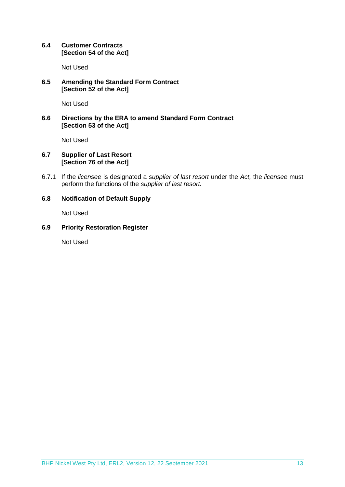# <span id="page-11-0"></span>**6.4 Customer Contracts [Section 54 of the Act]**

Not Used

# <span id="page-11-1"></span>**6.5 Amending the Standard Form Contract [Section 52 of the Act]**

Not Used

# <span id="page-11-2"></span>**6.6 Directions by the ERA to amend Standard Form Contract [Section 53 of the Act]**

Not Used

# <span id="page-11-3"></span>**6.7 Supplier of Last Resort [Section 76 of the Act]**

6.7.1 If the *licensee* is designated a *supplier of last resort* under the *Act,* the *licensee* must perform the functions of the *supplier of last resort.* 

# <span id="page-11-4"></span>**6.8 Notification of Default Supply**

Not Used

# <span id="page-11-5"></span>**6.9 Priority Restoration Register**

Not Used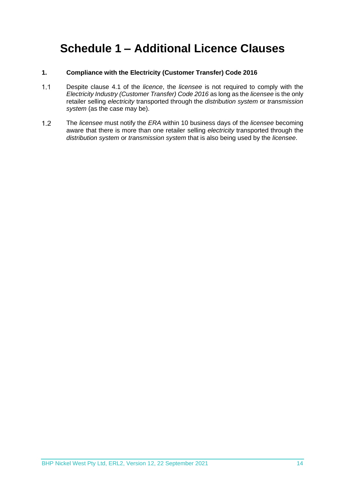# <span id="page-12-0"></span>**Schedule 1 – Additional Licence Clauses**

# **1. Compliance with the Electricity (Customer Transfer) Code 2016**

- $1.1$ Despite clause 4.1 of the *licence*, the *licensee* is not required to comply with the *Electricity Industry (Customer Transfer) Code 2016* as long as the *licensee* is the only retailer selling *electricity* transported through the *distribution system* or *transmission system* (as the case may be).
- $1.2$ The *licensee* must notify the *ERA* within 10 business days of the *licensee* becoming aware that there is more than one retailer selling *electricity* transported through the *distribution system* or *transmission system* that is also being used by the *licensee*.